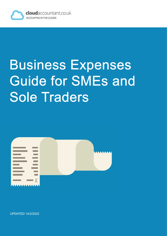

# Business Expenses Guide for SMEs and Sole Traders



UPDATED 14/2/2022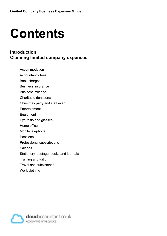# **Contents**

#### **Introduction Claiming limited company expenses**

- Accommodation
- Accountancy fees
- Bank charges
- Business insurance
- Business mileage
- Charitable donations
- Christmas party and staff event
- **Entertainment**
- Equipment
- Eye tests and glasses
- Home office
- Mobile telephone
- Pensions
- Professional subscriptions
- **Salaries**
- Stationery, postage, books and journals
- Training and tuition
- Travel and subsistence
- Work clothing

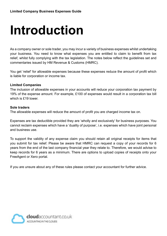# **Introduction**

As a company owner or sole trader, you may incur a variety of business expenses whilst undertaking your business. You need to know what expenses you are entitled to claim to benefit from tax relief, whilst fully complying with the tax legislation. The notes below reflect the guidelines set and commentaries issued by HM Revenue & Customs (HMRC).

You get 'relief' for allowable expenses because these expenses reduce the amount of profit which is liable for corporation or income tax.

#### **Limited Companies**

The inclusion of allowable expenses in your accounts will reduce your corporation tax payment by 19% of the expense amount. For example, £100 of expenses would result in a corporation tax bill which is £19 lower.

#### **Sole traders**

The allowable expenses will reduce the amount of profit you are charged income tax on.

Expenses are tax deductible provided they are 'wholly and exclusively' for business purposes. You cannot reclaim expenses which have a 'duality of purpose', i.e. expenses which have joint personal and business use.

To support the validity of any expense claim you should retain all original receipts for items that you submit for tax relief. Please be aware that HMRC can request a copy of your records for 6 years from the end of the last company financial year they relate to. Therefore, we would advise to keep records for 6 years as a minimum. There are options to upload copies of receipts onto your FreeAgent or Xero portal.

If you are unsure about any of these rules please contact your accountant for further advice.

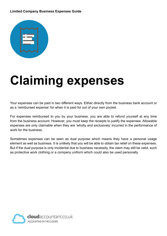#### **Limited Company Business Expenses Guide**



# **Claiming expenses**

Your expenses can be paid in two different ways. Either directly from the business bank account or as a 'reimbursed expense' for when it is paid for out of your own pocket.

For expenses reimbursed to you by your business, you are able to refund yourself at any time from the business account. However, you must keep the receipts to justify the expenses. Allowable expenses are only claimable when they are 'wholly and exclusively' incurred in the performance of work for the business.

Sometimes expenses can be seen as dual purpose which means they have a personal usage element as well as business. It is unlikely that you will be able to obtain tax relief on these expenses. But if the dual purpose is only incidental due to business necessity, the claim may still be valid, such as protective work clothing or a company uniform which could also be used personally.

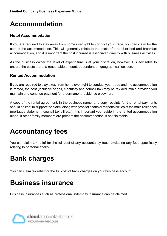## **Accommodation**

#### **Hotel Accommodation**

If you are required to stay away from home overnight to conduct your trade, you can claim for the cost of the accommodation. This will generally relate to the costs of a hotel or bed and breakfast accommodation, and it is important the cost incurred is associated directly with business activities.

As the business owner the level of expenditure is at your discretion, however it is advisable to ensure the costs are of a reasonable amount, dependent on geographical location.

#### **Rented Accommodation**

If you are required to stay away from home overnight to conduct your trade and the accommodation is rented, the cost (inclusive of gas, electricity and council tax) may be tax deductible provided you maintain and continue payment for a permanent residence elsewhere.

A copy of the rental agreement, in the business name, and copy receipts for the rental payments should be kept to support the claim, along with proof of financial responsibilities at the main residence (mortgage statement, council tax bill etc.). It is important you reside in the rented accommodation alone. If other family members are present the accommodation is not claimable.

### **Accountancy fees**

You can claim tax relief for the full cost of any accountancy fees, excluding any fees specifically relating to personal affairs.

### **Bank charges**

You can claim tax relief for the full cost of bank charges on your business account.

### **Business insurance**

Business insurances such as professional indemnity insurance can be claimed.

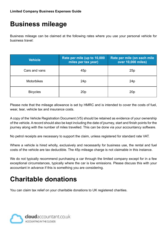### **Business mileage**

Business mileage can be claimed at the following rates where you use your personal vehicle for business travel:

| <b>Vehicle</b>    | Rate per mile (up to 10,000<br>miles per tax year) | Rate per mile (on each mile<br>over 10,000 miles) |
|-------------------|----------------------------------------------------|---------------------------------------------------|
| Cars and vans     | 45p                                                | 25p                                               |
| <b>Motorbikes</b> | 24p                                                | 24p                                               |
| <b>Bicycles</b>   | 20 <sub>p</sub>                                    | 20 <sub>p</sub>                                   |

Please note that the mileage allowance is set by HMRC and is intended to cover the costs of fuel, wear, tear, vehicle tax and insurance costs.

A copy of the Vehicle Registration Document (V5) should be retained as evidence of your ownership of the vehicle. A record should also be kept including the date of journey, start and finish points for the journey along with the number of miles travelled. This can be done via your accountancy software.

No petrol receipts are necessary to support the claim, unless registered for standard rate VAT.

Where a vehicle is hired wholly, exclusively and necessarily for business use, the rental and fuel costs of the vehicle are tax deductible. The 45p mileage charge is not claimable in this instance.

We do not typically recommend purchasing a car through the limited company except for in a few exceptional circumstances, typically where the car is low emissions. Please discuss this with your accountant in advance if this is something you are considering.

### **Charitable donations**

You can claim tax relief on your charitable donations to UK registered charities.

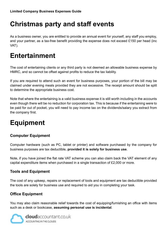## **Christmas party and staff events**

As a business owner, you are entitled to provide an annual event for yourself, any staff you employ, and your partner, as a tax-free benefit providing the expense does not exceed £150 per head (inc VAT).

### **Entertainment**

The cost of entertaining clients or any third party is not deemed an allowable business expense by HMRC, and so cannot be offset against profits to reduce the tax liability.

If you are required to attend such an event for business purposes, your portion of the bill may be claimed under evening meals provided they are not excessive. The receipt amount should be split to determine the appropriate business cost.

Note that where the entertaining is a valid business expense it is still worth including in the accounts even though there will be no reduction for corporation tax. This is because if the entertaining were to be paid for out of pocket, you will need to pay income tax on the dividends/salary you extract from the company first.

# **Equipment**

#### **Computer Equipment**

Computer hardware (such as PC, tablet or printer) and software purchased by the company for business purposes are tax deductible, **provided it is solely for business use**.

Note, if you have joined the flat rate VAT scheme you can also claim back the VAT element of any capital expenditure items when purchased in a single transaction of £2,000 or more.

#### **Tools and Equipment**

The cost of any upkeep, repairs or replacement of tools and equipment are tax deductible provided the tools are solely for business use and required to aid you in completing your task.

#### **Office Equipment**

You may also claim reasonable relief towards the cost of equipping/furnishing an office with items such as a desk or bookcase, **assuming personal use is incidental**.

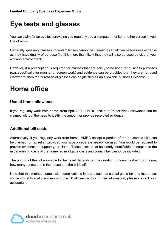# **Eye tests and glasses**

You can claim for an eye test providing you regularly use a computer monitor or other screen in your line of work.

Generally speaking, glasses or contact lenses cannot be claimed as an allowable business expense as they have duality of purpose (i.e. it is more than likely that they will also be used outside of your working environment).

However, if a prescription is required for glasses that are solely to be used for business purposes (e.g. specifically for monitor or screen work) and evidence can be provided that they are not used elsewhere, then the purchase of glasses can be justified as an allowable business expense.

## **Home office**

#### **Use of home allowance**

If you regularly work from home, from April 2020, HMRC accept a £6 per week allowance can be claimed without the need to justify the amount or provide receipted evidence.

#### **Additional bill costs**

Alternatively, if you regularly work from home, HMRC accept a portion of the household bills can be claimed for tax relief, provided you have a separate area/office used. You would be required to provide evidence to support your claim. These costs must be clearly identifiable as surplus to the usual running costs of the home, so mortgage costs and council tax cannot be included.

The portion of the bill allowable for tax relief depends on the duration of hours worked from home, how many rooms are in the house and the bill itself.

Note that this method comes with complications in areas such as capital gains tax and insurance, so we would typically advise using the £6 allowance. For further information, please contact your accountant.

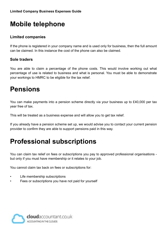# **Mobile telephone**

#### **Limited companies**

If the phone is registered in your company name and is used only for business, then the full amount can be claimed. In this instance the cost of the phone can also be claimed.

#### **Sole traders**

You are able to claim a percentage of the phone costs. This would involve working out what percentage of use is related to business and what is personal. You must be able to demonstrate your workings to HMRC to be eligible for the tax relief.

### **Pensions**

You can make payments into a pension scheme directly via your business up to £40,000 per tax year free of tax.

This will be treated as a business expense and will allow you to get tax relief.

If you already have a pension scheme set up, we would advise you to contact your current pension provider to confirm they are able to support pensions paid in this way.

# **Professional subscriptions**

You can claim tax relief on fees or subscriptions you pay to approved professional organisations but only if you must have membership or it relates to your job.

You cannot claim tax back on fees or subscriptions for:

- Life membership subscriptions
- Fees or subscriptions you have not paid for yourself

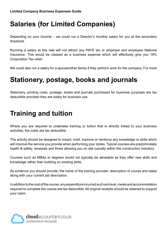# **Salaries (for Limited Companies)**

Depending on your Income – we could run a Director's monthly salary for you at the secondary threshold.

Running a salary at this rate will not attract any PAYE tax or employer and employee National Insurance. This would be classed as a business expense which will effectively give you 19% Corporation Tax relief.

We could also run a salary for a spouse/other family if they perform work for the company. For more

### **Stationery, postage, books and journals**

Stationery, printing costs, postage, books and journals purchased for business purposes are tax deductible provided they are solely for business use.

## **Training and tuition**

Where you are required to undertake training or tuition that is directly linked to your business activities, the costs are tax deductible.

The activity should be designed to impart, instil, improve or reinforce any knowledge or skills which will improve the service you provide when performing your duties. Typical courses are predominately health & safety, renewals and those allowing you on site (usually within the construction industry).

Courses such as MBAs or degrees would not typically be allowable as they offer new skills and knowledge rather than building on existing skills.

As evidence you should provide; the name of the training provider, description of course and dates along with your current job description.

In addition to the cost of the course, any expenditure incurred such as travel, meals and accommodation required to complete the course are tax deductible. All original receipts should be retained to support your claim.